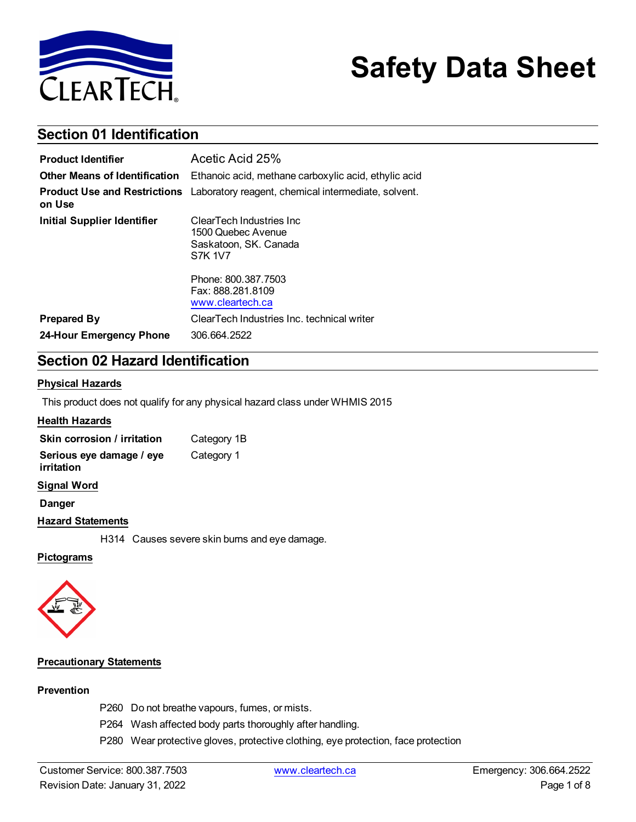

# **Safety Data Sheet**

### **Section 01 Identification**

| <b>Product Identifier</b>            | Acetic Acid 25%                                                                            |
|--------------------------------------|--------------------------------------------------------------------------------------------|
| <b>Other Means of Identification</b> | Ethanoic acid, methane carboxylic acid, ethylic acid                                       |
| on Use                               | <b>Product Use and Restrictions</b> Laboratory reagent, chemical intermediate, solvent.    |
| <b>Initial Supplier Identifier</b>   | ClearTech Industries Inc.<br>1500 Quebec Avenue<br>Saskatoon, SK. Canada<br><b>S7K 1V7</b> |
|                                      | Phone: 800, 387, 7503<br>Fax: 888.281.8109<br>www.cleartech.ca                             |
| <b>Prepared By</b>                   | ClearTech Industries Inc. technical writer                                                 |
| 24-Hour Emergency Phone              | 306.664.2522                                                                               |

### **Section 02 Hazard Identification**

#### **Physical Hazards**

This product does not qualify for any physical hazard class under WHMIS 2015

#### **Health Hazards**

| Skin corrosion / irritation            | Category 1B |
|----------------------------------------|-------------|
| Serious eye damage / eye<br>irritation | Category 1  |

**Signal Word**

**Danger**

#### **Hazard Statements**

H314 Causes severe skin burns and eye damage.

#### **Pictograms**



#### **Precautionary Statements**

#### **Prevention**

- P260 Do not breathe vapours, fumes, or mists.
- P264 Wash affected body parts thoroughly after handling.
- P280 Wear protective gloves, protective clothing, eye protection, face protection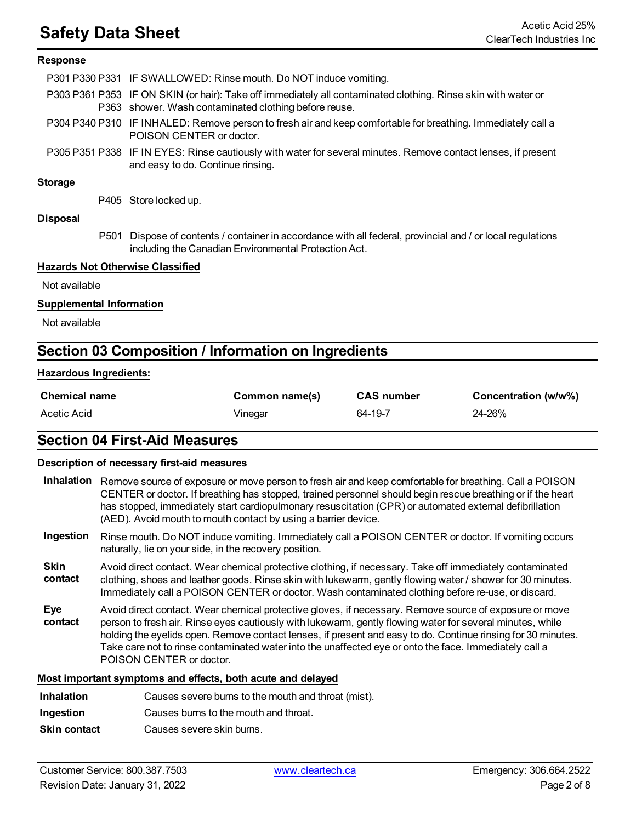# **Safety Data Sheet** Acetic Acid 25%

#### **Response**

|                | P301 P330 P331 IF SWALLOWED: Rinse mouth. Do NOT induce vomiting.                                                                                                      |
|----------------|------------------------------------------------------------------------------------------------------------------------------------------------------------------------|
|                | P303 P361 P353 IF ON SKIN (or hair): Take off immediately all contaminated clothing. Rinse skin with water or<br>P363 shower. Wash contaminated clothing before reuse. |
|                | P304 P340 P310 IF INHALED: Remove person to fresh air and keep comfortable for breathing. Immediately call a<br>POISON CENTER or doctor.                               |
|                | P305 P351 P338 IF IN EYES: Rinse cautiously with water for several minutes. Remove contact lenses, if present<br>and easy to do. Continue rinsing.                     |
| 74 - - - - - - |                                                                                                                                                                        |

#### **Storage**

P405 Store locked up.

#### **Disposal**

P501 Dispose of contents / container in accordance with all federal, provincial and / or local regulations including the Canadian Environmental Protection Act.

#### **Hazards Not Otherwise Classified**

Not available

#### **Supplemental Information**

Not available

### **Section 03 Composition / Information on Ingredients**

#### **Hazardous Ingredients:**

| <b>Chemical name</b> | Common name(s) | <b>CAS number</b> | Concentration (w/w%) |
|----------------------|----------------|-------------------|----------------------|
| Acetic Acid          | Vinegar        | 64-19-7           | 24-26%               |

#### **Section 04 First-Aid Measures**

#### **Description of necessary first-aid measures**

- **Inhalation** Remove source of exposure or move person to fresh air and keep comfortable for breathing. Call a POISON CENTER or doctor. If breathing has stopped, trained personnel should begin rescue breathing or if the heart has stopped, immediately start cardiopulmonary resuscitation (CPR) or automated external defibrillation (AED). Avoid mouth to mouth contact by using a barrier device.
- **Ingestion** Rinse mouth. Do NOT induce vomiting. Immediately call a POISON CENTER or doctor. If vomiting occurs naturally, lie on your side, in the recovery position.
- **Skin contact** Avoid direct contact. Wear chemical protective clothing, if necessary. Take off immediately contaminated clothing, shoes and leather goods. Rinse skin with lukewarm, gently flowing water / shower for 30 minutes. Immediately call a POISON CENTER or doctor. Wash contaminated clothing before re-use, or discard.
- **Eye contact** Avoid direct contact. Wear chemical protective gloves, if necessary. Remove source of exposure or move person to fresh air. Rinse eyes cautiously with lukewarm, gently flowing water for several minutes, while holding the eyelids open. Remove contact lenses, if present and easy to do. Continue rinsing for 30 minutes. Take care not to rinse contaminated water into the unaffected eye or onto the face. Immediately call a POISON CENTER or doctor.

#### **Most important symptoms and effects, both acute and delayed**

- **Inhalation** Causes severe burns to the mouth and throat (mist).
- **Ingestion** Causes burns to the mouth and throat.
- **Skin contact** Causes severe skin burns.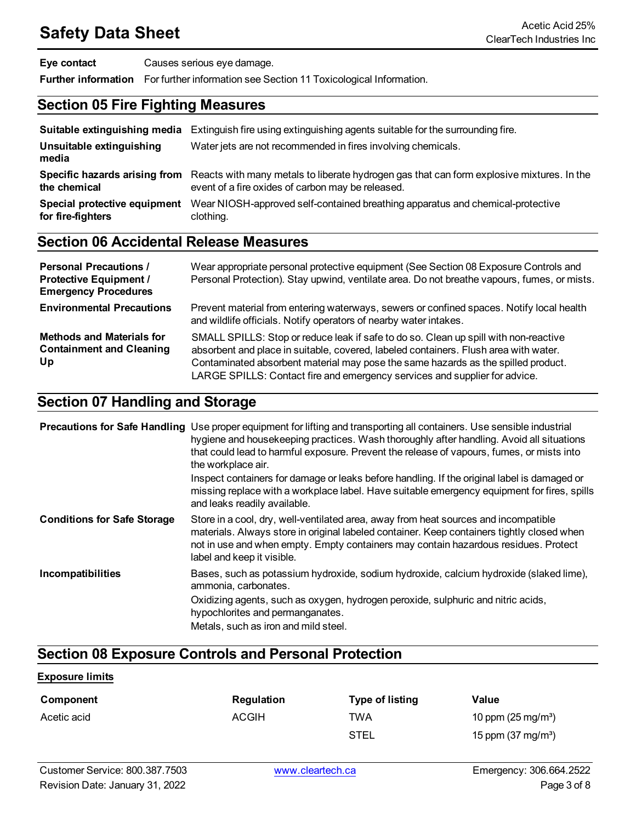| Eye contact | Causes serious eye damage.                                                                   |
|-------------|----------------------------------------------------------------------------------------------|
|             | <b>Further information</b> For further information see Section 11 Toxicological Information. |

### **Section 05 Fire Fighting Measures**

| Suitable extinguishing media                      | Extinguish fire using extinguishing agents suitable for the surrounding fire.                                                                                                |
|---------------------------------------------------|------------------------------------------------------------------------------------------------------------------------------------------------------------------------------|
| Unsuitable extinguishing<br>media                 | Water jets are not recommended in fires involving chemicals.                                                                                                                 |
| the chemical                                      | Specific hazards arising from Reacts with many metals to liberate hydrogen gas that can form explosive mixtures. In the<br>event of a fire oxides of carbon may be released. |
| Special protective equipment<br>for fire-fighters | Wear NIOSH-approved self-contained breathing apparatus and chemical-protective<br>clothing.                                                                                  |

### **Section 06 Accidental Release Measures**

| <b>Personal Precautions /</b><br><b>Protective Equipment /</b><br><b>Emergency Procedures</b> | Wear appropriate personal protective equipment (See Section 08 Exposure Controls and<br>Personal Protection). Stay upwind, ventilate area. Do not breathe vapours, fumes, or mists.                                                                                                                                                             |
|-----------------------------------------------------------------------------------------------|-------------------------------------------------------------------------------------------------------------------------------------------------------------------------------------------------------------------------------------------------------------------------------------------------------------------------------------------------|
| <b>Environmental Precautions</b>                                                              | Prevent material from entering waterways, sewers or confined spaces. Notify local health<br>and wildlife officials. Notify operators of nearby water intakes.                                                                                                                                                                                   |
| <b>Methods and Materials for</b><br><b>Containment and Cleaning</b><br>Up                     | SMALL SPILLS: Stop or reduce leak if safe to do so. Clean up spill with non-reactive<br>absorbent and place in suitable, covered, labeled containers. Flush area with water.<br>Contaminated absorbent material may pose the same hazards as the spilled product.<br>LARGE SPILLS: Contact fire and emergency services and supplier for advice. |

### **Section 07 Handling and Storage**

|                                    | <b>Precautions for Safe Handling</b> Use proper equipment for lifting and transporting all containers. Use sensible industrial<br>hygiene and housekeeping practices. Wash thoroughly after handling. Avoid all situations<br>that could lead to harmful exposure. Prevent the release of vapours, fumes, or mists into<br>the workplace air.<br>Inspect containers for damage or leaks before handling. If the original label is damaged or<br>missing replace with a workplace label. Have suitable emergency equipment for fires, spills<br>and leaks readily available. |
|------------------------------------|-----------------------------------------------------------------------------------------------------------------------------------------------------------------------------------------------------------------------------------------------------------------------------------------------------------------------------------------------------------------------------------------------------------------------------------------------------------------------------------------------------------------------------------------------------------------------------|
| <b>Conditions for Safe Storage</b> | Store in a cool, dry, well-ventilated area, away from heat sources and incompatible<br>materials. Always store in original labeled container. Keep containers tightly closed when<br>not in use and when empty. Empty containers may contain hazardous residues. Protect<br>label and keep it visible.                                                                                                                                                                                                                                                                      |
| Incompatibilities                  | Bases, such as potassium hydroxide, sodium hydroxide, calcium hydroxide (slaked lime),<br>ammonia, carbonates.                                                                                                                                                                                                                                                                                                                                                                                                                                                              |
|                                    | Oxidizing agents, such as oxygen, hydrogen peroxide, sulphuric and nitric acids,<br>hypochlorites and permanganates.                                                                                                                                                                                                                                                                                                                                                                                                                                                        |
|                                    | Metals, such as iron and mild steel.                                                                                                                                                                                                                                                                                                                                                                                                                                                                                                                                        |

### **Section 08 Exposure Controls and Personal Protection**

#### **Exposure limits**

| Component   | <b>Regulation</b> | <b>Type of listing</b> | Value                        |
|-------------|-------------------|------------------------|------------------------------|
| Acetic acid | <b>ACGIH</b>      | TWA                    | 10 ppm $(25 \text{ mg/m}^3)$ |
|             |                   | <b>STEL</b>            | 15 ppm $(37 \text{ mg/m}^3)$ |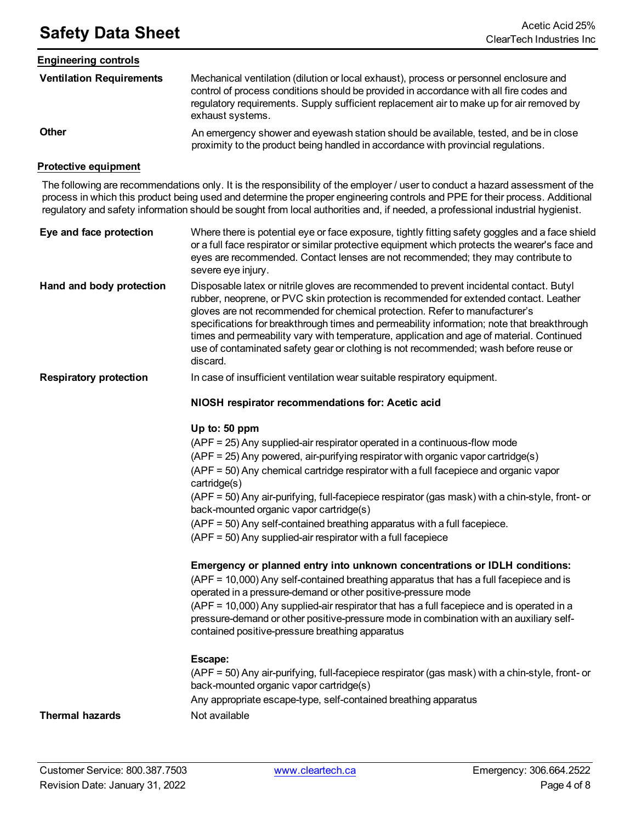# **Safety Data Sheet** Acetic Acid 25%

| <b>Engineering controls</b>     |                                                                                                                                                                                                                                                                                                  |
|---------------------------------|--------------------------------------------------------------------------------------------------------------------------------------------------------------------------------------------------------------------------------------------------------------------------------------------------|
| <b>Ventilation Requirements</b> | Mechanical ventilation (dilution or local exhaust), process or personnel enclosure and<br>control of process conditions should be provided in accordance with all fire codes and<br>regulatory requirements. Supply sufficient replacement air to make up for air removed by<br>exhaust systems. |
| <b>Other</b>                    | An emergency shower and eyewash station should be available, tested, and be in close<br>proximity to the product being handled in accordance with provincial regulations.                                                                                                                        |

#### **Protective equipment**

The following are recommendations only. It is the responsibility of the employer / user to conduct a hazard assessment of the process in which this product being used and determine the proper engineering controls and PPE for their process. Additional regulatory and safety information should be sought from local authorities and, if needed, a professional industrial hygienist.

| Eye and face protection  | Where there is potential eye or face exposure, tightly fitting safety goggles and a face shield<br>or a full face respirator or similar protective equipment which protects the wearer's face and<br>eyes are recommended. Contact lenses are not recommended; they may contribute to<br>severe eye injury.                                                                                                                                                                                                                                                   |
|--------------------------|---------------------------------------------------------------------------------------------------------------------------------------------------------------------------------------------------------------------------------------------------------------------------------------------------------------------------------------------------------------------------------------------------------------------------------------------------------------------------------------------------------------------------------------------------------------|
| Hand and body protection | Disposable latex or nitrile gloves are recommended to prevent incidental contact. Butyl<br>rubber, neoprene, or PVC skin protection is recommended for extended contact. Leather<br>gloves are not recommended for chemical protection. Refer to manufacturer's<br>specifications for breakthrough times and permeability information; note that breakthrough<br>times and permeability vary with temperature, application and age of material. Continued<br>use of contaminated safety gear or clothing is not recommended; wash before reuse or<br>discard. |

**Respiratory protection** In case of insufficient ventilation wear suitable respiratory equipment.

#### **NIOSH respirator recommendations for: Acetic acid**

#### **Up to: 50 ppm**

(APF = 25) Any supplied-air respirator operated in a continuous-flow mode (APF = 25) Any powered, air-purifying respirator with organic vapor cartridge(s) (APF = 50) Any chemical cartridge respirator with a full facepiece and organic vapor cartridge(s) (APF = 50) Any air-purifying, full-facepiece respirator (gas mask) with a chin-style, front- or back-mounted organic vapor cartridge(s) (APF = 50) Any self-contained breathing apparatus with a full facepiece. (APF = 50) Any supplied-air respirator with a full facepiece **Emergency or planned entry into unknown concentrations or IDLH conditions:** (APF = 10,000) Any self-contained breathing apparatus that has a full facepiece and is operated in a pressure-demand or other positive-pressure mode (APF = 10,000) Any supplied-air respirator that has a full facepiece and is operated in a pressure-demand or other positive-pressure mode in combination with an auxiliary selfcontained positive-pressure breathing apparatus **Escape:**

(APF = 50) Any air-purifying, full-facepiece respirator (gas mask) with a chin-style, front- or back-mounted organic vapor cartridge(s)

Any appropriate escape-type, self-contained breathing apparatus

#### **Thermal hazards** Not available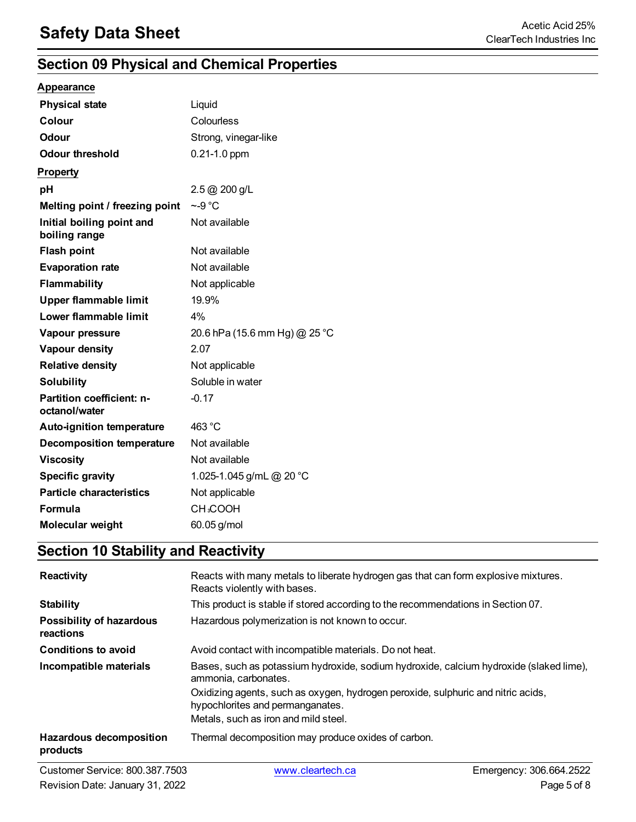### **Section 09 Physical and Chemical Properties**

#### **Appearance**

| <b>Physical state</b>                      | Liquid                        |
|--------------------------------------------|-------------------------------|
| Colour                                     | Colourless                    |
| Odour                                      | Strong, vinegar-like          |
| <b>Odour threshold</b>                     | $0.21 - 1.0$ ppm              |
| <b>Property</b>                            |                               |
| рH                                         | 2.5 @ 200 g/L                 |
| Melting point / freezing point             | $\sim$ -9 °C                  |
| Initial boiling point and<br>boiling range | Not available                 |
| <b>Flash point</b>                         | Not available                 |
| <b>Evaporation rate</b>                    | Not available                 |
| Flammability                               | Not applicable                |
| <b>Upper flammable limit</b>               | 19.9%                         |
| Lower flammable limit                      | 4%                            |
| Vapour pressure                            | 20.6 hPa (15.6 mm Hg) @ 25 °C |
| Vapour density                             | 2.07                          |
| <b>Relative density</b>                    | Not applicable                |
| <b>Solubility</b>                          | Soluble in water              |
| Partition coefficient: n-<br>octanol/water | $-0.17$                       |
| <b>Auto-ignition temperature</b>           | 463 °C                        |
| <b>Decomposition temperature</b>           | Not available                 |
| <b>Viscosity</b>                           | Not available                 |
| <b>Specific gravity</b>                    | 1.025-1.045 g/mL @ 20 °C      |
| <b>Particle characteristics</b>            | Not applicable                |
| <b>Formula</b>                             | <b>CH3COOH</b>                |
| Molecular weight                           | 60.05 g/mol                   |

### **Section 10 Stability and Reactivity**

| <b>Reactivity</b>                            | Reacts with many metals to liberate hydrogen gas that can form explosive mixtures.<br>Reacts violently with bases.   |
|----------------------------------------------|----------------------------------------------------------------------------------------------------------------------|
| <b>Stability</b>                             | This product is stable if stored according to the recommendations in Section 07.                                     |
| <b>Possibility of hazardous</b><br>reactions | Hazardous polymerization is not known to occur.                                                                      |
| <b>Conditions to avoid</b>                   | Avoid contact with incompatible materials. Do not heat.                                                              |
| Incompatible materials                       | Bases, such as potassium hydroxide, sodium hydroxide, calcium hydroxide (slaked lime),<br>ammonia, carbonates.       |
|                                              | Oxidizing agents, such as oxygen, hydrogen peroxide, sulphuric and nitric acids,<br>hypochlorites and permanganates. |
|                                              | Metals, such as iron and mild steel.                                                                                 |
| <b>Hazardous decomposition</b><br>products   | Thermal decomposition may produce oxides of carbon.                                                                  |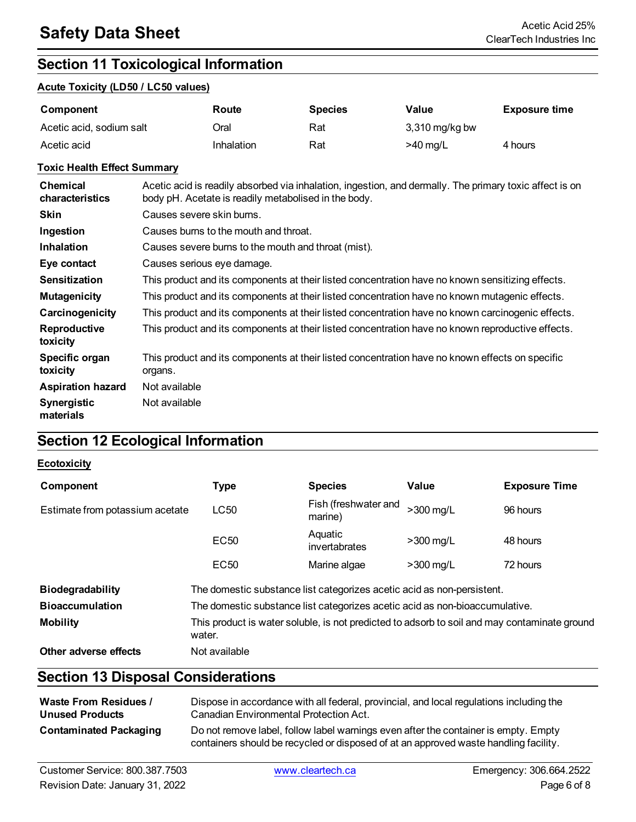### **Section 11 Toxicological Information**

#### **Acute Toxicity (LD50 / LC50 values)**

| Component                | Route      | <b>Species</b> | Value            | <b>Exposure time</b> |
|--------------------------|------------|----------------|------------------|----------------------|
| Acetic acid, sodium salt | Dral       | Rat            | $3,310$ mg/kg bw |                      |
| Acetic acid              | Inhalation | Rat            | $>40$ mg/L       | 4 hours              |

#### **Toxic Health Effect Summary**

| <b>Chemical</b><br>characteristics | Acetic acid is readily absorbed via inhalation, ingestion, and dermally. The primary toxic affect is on<br>body pH. Acetate is readily metabolised in the body. |
|------------------------------------|-----------------------------------------------------------------------------------------------------------------------------------------------------------------|
| <b>Skin</b>                        | Causes severe skin burns.                                                                                                                                       |
| Ingestion                          | Causes burns to the mouth and throat.                                                                                                                           |
| <b>Inhalation</b>                  | Causes severe burns to the mouth and throat (mist).                                                                                                             |
| Eye contact                        | Causes serious eye damage.                                                                                                                                      |
| <b>Sensitization</b>               | This product and its components at their listed concentration have no known sensitizing effects.                                                                |
| <b>Mutagenicity</b>                | This product and its components at their listed concentration have no known mutagenic effects.                                                                  |
| Carcinogenicity                    | This product and its components at their listed concentration have no known carcinogenic effects.                                                               |
| <b>Reproductive</b><br>toxicity    | This product and its components at their listed concentration have no known reproductive effects.                                                               |
| Specific organ<br>toxicity         | This product and its components at their listed concentration have no known effects on specific<br>organs.                                                      |
| <b>Aspiration hazard</b>           | Not available                                                                                                                                                   |
| <b>Synergistic</b><br>materials    | Not available                                                                                                                                                   |

### **Section 12 Ecological Information**

#### **Ecotoxicity**

| Component                       | <b>Type</b>                                                                                            | <b>Species</b>                  | Value       | <b>Exposure Time</b> |
|---------------------------------|--------------------------------------------------------------------------------------------------------|---------------------------------|-------------|----------------------|
| Estimate from potassium acetate | <b>LC50</b>                                                                                            | Fish (freshwater and<br>marine) | >300 mg/L   | 96 hours             |
|                                 | <b>EC50</b>                                                                                            | Aquatic<br>invertabrates        | $>300$ mg/L | 48 hours             |
|                                 | <b>EC50</b>                                                                                            | Marine algae                    | $>300$ mg/L | 72 hours             |
| <b>Biodegradability</b>         | The domestic substance list categorizes acetic acid as non-persistent.                                 |                                 |             |                      |
| <b>Bioaccumulation</b>          | The domestic substance list categorizes acetic acid as non-bioaccumulative.                            |                                 |             |                      |
| <b>Mobility</b>                 | This product is water soluble, is not predicted to adsorb to soil and may contaminate ground<br>water. |                                 |             |                      |
| Other adverse effects           | Not available                                                                                          |                                 |             |                      |

### **Section 13 Disposal Considerations**

| <b>Waste From Residues /</b>  | Dispose in accordance with all federal, provincial, and local regulations including the                                                                                     |
|-------------------------------|-----------------------------------------------------------------------------------------------------------------------------------------------------------------------------|
| <b>Unused Products</b>        | Canadian Environmental Protection Act.                                                                                                                                      |
| <b>Contaminated Packaging</b> | Do not remove label, follow label warnings even after the container is empty. Empty<br>containers should be recycled or disposed of at an approved waste handling facility. |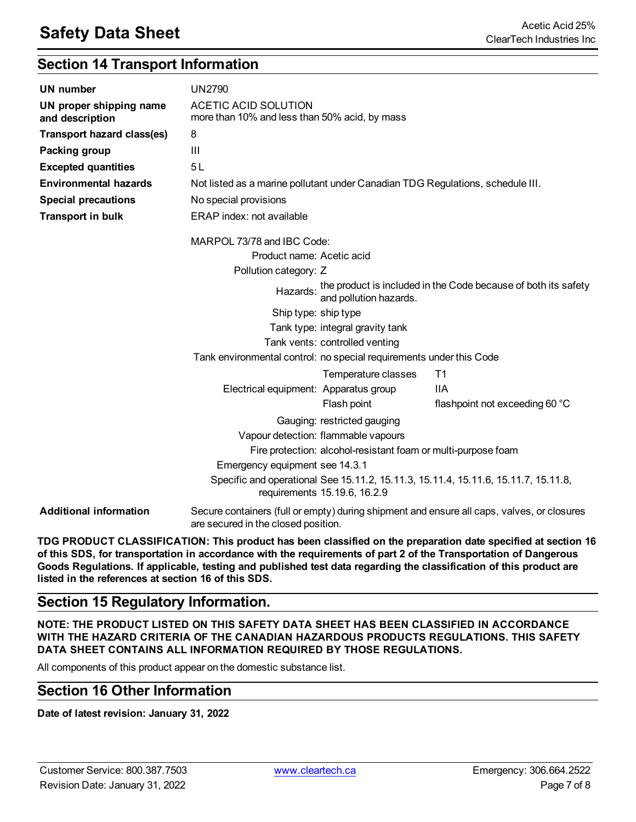### **Section 14 Transport Information**

| <b>UN number</b>                           | <b>UN2790</b>                                                                  |                                                               |                                                                                            |
|--------------------------------------------|--------------------------------------------------------------------------------|---------------------------------------------------------------|--------------------------------------------------------------------------------------------|
| UN proper shipping name<br>and description | <b>ACETIC ACID SOLUTION</b><br>more than 10% and less than 50% acid, by mass   |                                                               |                                                                                            |
| <b>Transport hazard class(es)</b>          | 8                                                                              |                                                               |                                                                                            |
| Packing group                              | Ш                                                                              |                                                               |                                                                                            |
| <b>Excepted quantities</b>                 | 5L                                                                             |                                                               |                                                                                            |
| <b>Environmental hazards</b>               | Not listed as a marine pollutant under Canadian TDG Regulations, schedule III. |                                                               |                                                                                            |
| <b>Special precautions</b>                 | No special provisions                                                          |                                                               |                                                                                            |
| <b>Transport in bulk</b>                   | ERAP index: not available                                                      |                                                               |                                                                                            |
|                                            | MARPOL 73/78 and IBC Code:                                                     |                                                               |                                                                                            |
|                                            | Product name: Acetic acid                                                      |                                                               |                                                                                            |
|                                            | Pollution category: Z                                                          |                                                               |                                                                                            |
|                                            |                                                                                | and pollution hazards.                                        | Hazards: the product is included in the Code because of both its safety                    |
|                                            | Ship type: ship type                                                           |                                                               |                                                                                            |
|                                            |                                                                                | Tank type: integral gravity tank                              |                                                                                            |
|                                            |                                                                                | Tank vents: controlled venting                                |                                                                                            |
|                                            | Tank environmental control: no special requirements under this Code            |                                                               |                                                                                            |
|                                            |                                                                                | Temperature classes                                           | T1                                                                                         |
|                                            | Electrical equipment: Apparatus group                                          |                                                               | <b>IIA</b>                                                                                 |
|                                            |                                                                                | Flash point                                                   | flashpoint not exceeding 60 °C                                                             |
|                                            |                                                                                | Gauging: restricted gauging                                   |                                                                                            |
|                                            |                                                                                | Vapour detection: flammable vapours                           |                                                                                            |
|                                            |                                                                                | Fire protection: alcohol-resistant foam or multi-purpose foam |                                                                                            |
|                                            | Emergency equipment see 14.3.1                                                 |                                                               |                                                                                            |
|                                            |                                                                                | requirements 15.19.6, 16.2.9                                  | Specific and operational See 15.11.2, 15.11.3, 15.11.4, 15.11.6, 15.11.7, 15.11.8,         |
| <b>Additional information</b>              | are secured in the closed position.                                            |                                                               | Secure containers (full or empty) during shipment and ensure all caps, valves, or closures |

**TDG PRODUCT CLASSIFICATION: This product has been classified on the preparation date specified at section 16** of this SDS, for transportation in accordance with the requirements of part 2 of the Transportation of Dangerous Goods Regulations. If applicable, testing and published test data regarding the classification of this product are **listed in the references at section 16 of this SDS.**

### **Section 15 Regulatory Information.**

**NOTE: THE PRODUCT LISTED ON THIS SAFETY DATA SHEET HAS BEEN CLASSIFIED IN ACCORDANCE WITH THE HAZARD CRITERIA OF THE CANADIAN HAZARDOUS PRODUCTS REGULATIONS. THIS SAFETY DATA SHEET CONTAINS ALL INFORMATION REQUIRED BY THOSE REGULATIONS.**

All components of this product appear on the domestic substance list.

### **Section 16 Other Information**

**Date of latest revision: January 31, 2022**